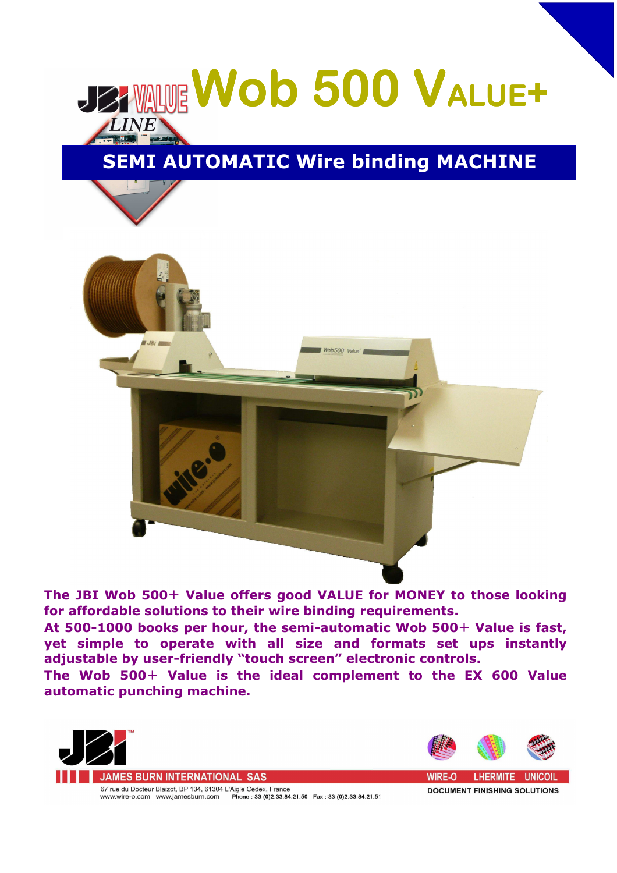

## **SEMI AUTOMATIC Wire binding MACHINE**



**The JBI Wob 500**+ **Value offers good VALUE for MONEY to those looking for affordable solutions to their wire binding requirements.**

**At 500-1000 books per hour, the semi-automatic Wob 500**+ **Value is fast, yet simple to operate with all size and formats set ups instantly adjustable by user-friendly "touch screen" electronic controls.** 

**The Wob 500**+ **Value is the ideal complement to the EX 600 Value automatic punching machine.**